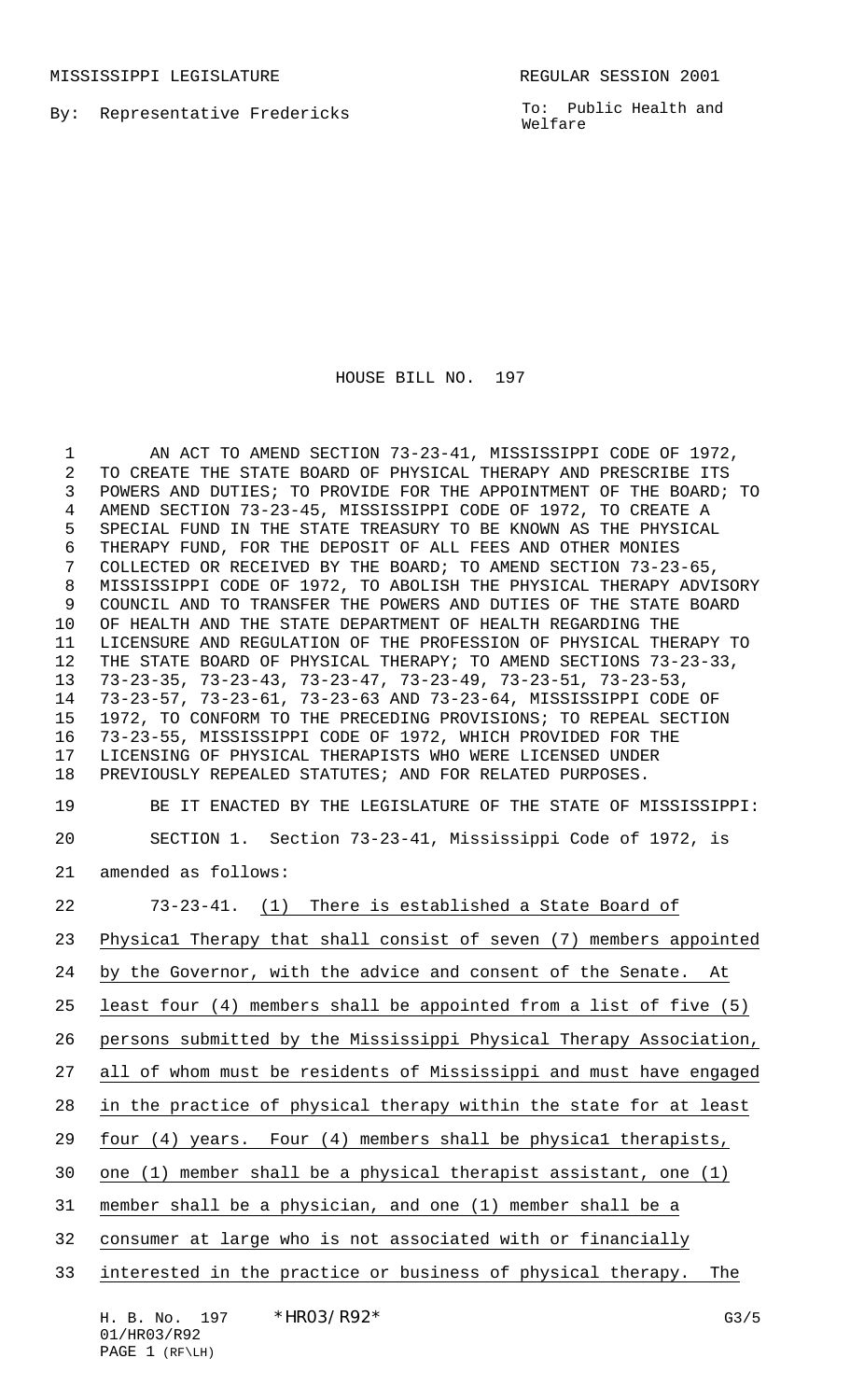MISSISSIPPI LEGISLATURE **REGULAR SESSION 2001** 

By: Representative Fredericks

To: Public Health and Welfare

## HOUSE BILL NO. 197

1 AN ACT TO AMEND SECTION 73-23-41, MISSISSIPPI CODE OF 1972, TO CREATE THE STATE BOARD OF PHYSICAL THERAPY AND PRESCRIBE ITS POWERS AND DUTIES; TO PROVIDE FOR THE APPOINTMENT OF THE BOARD; TO AMEND SECTION 73-23-45, MISSISSIPPI CODE OF 1972, TO CREATE A SPECIAL FUND IN THE STATE TREASURY TO BE KNOWN AS THE PHYSICAL THERAPY FUND, FOR THE DEPOSIT OF ALL FEES AND OTHER MONIES COLLECTED OR RECEIVED BY THE BOARD; TO AMEND SECTION 73-23-65, MISSISSIPPI CODE OF 1972, TO ABOLISH THE PHYSICAL THERAPY ADVISORY COUNCIL AND TO TRANSFER THE POWERS AND DUTIES OF THE STATE BOARD OF HEALTH AND THE STATE DEPARTMENT OF HEALTH REGARDING THE LICENSURE AND REGULATION OF THE PROFESSION OF PHYSICAL THERAPY TO THE STATE BOARD OF PHYSICAL THERAPY; TO AMEND SECTIONS 73-23-33, 73-23-35, 73-23-43, 73-23-47, 73-23-49, 73-23-51, 73-23-53, 73-23-57, 73-23-61, 73-23-63 AND 73-23-64, MISSISSIPPI CODE OF 1972, TO CONFORM TO THE PRECEDING PROVISIONS; TO REPEAL SECTION 73-23-55, MISSISSIPPI CODE OF 1972, WHICH PROVIDED FOR THE LICENSING OF PHYSICAL THERAPISTS WHO WERE LICENSED UNDER PREVIOUSLY REPEALED STATUTES; AND FOR RELATED PURPOSES. BE IT ENACTED BY THE LEGISLATURE OF THE STATE OF MISSISSIPPI: SECTION 1. Section 73-23-41, Mississippi Code of 1972, is amended as follows: 73-23-41. (1) There is established a State Board of Physica1 Therapy that shall consist of seven (7) members appointed 24 by the Governor, with the advice and consent of the Senate. At least four (4) members shall be appointed from a list of five (5) persons submitted by the Mississippi Physical Therapy Association, all of whom must be residents of Mississippi and must have engaged in the practice of physical therapy within the state for at least four (4) years. Four (4) members shall be physica1 therapists, one (1) member shall be a physical therapist assistant, one (1) member shall be a physician, and one (1) member shall be a consumer at large who is not associated with or financially interested in the practice or business of physical therapy. The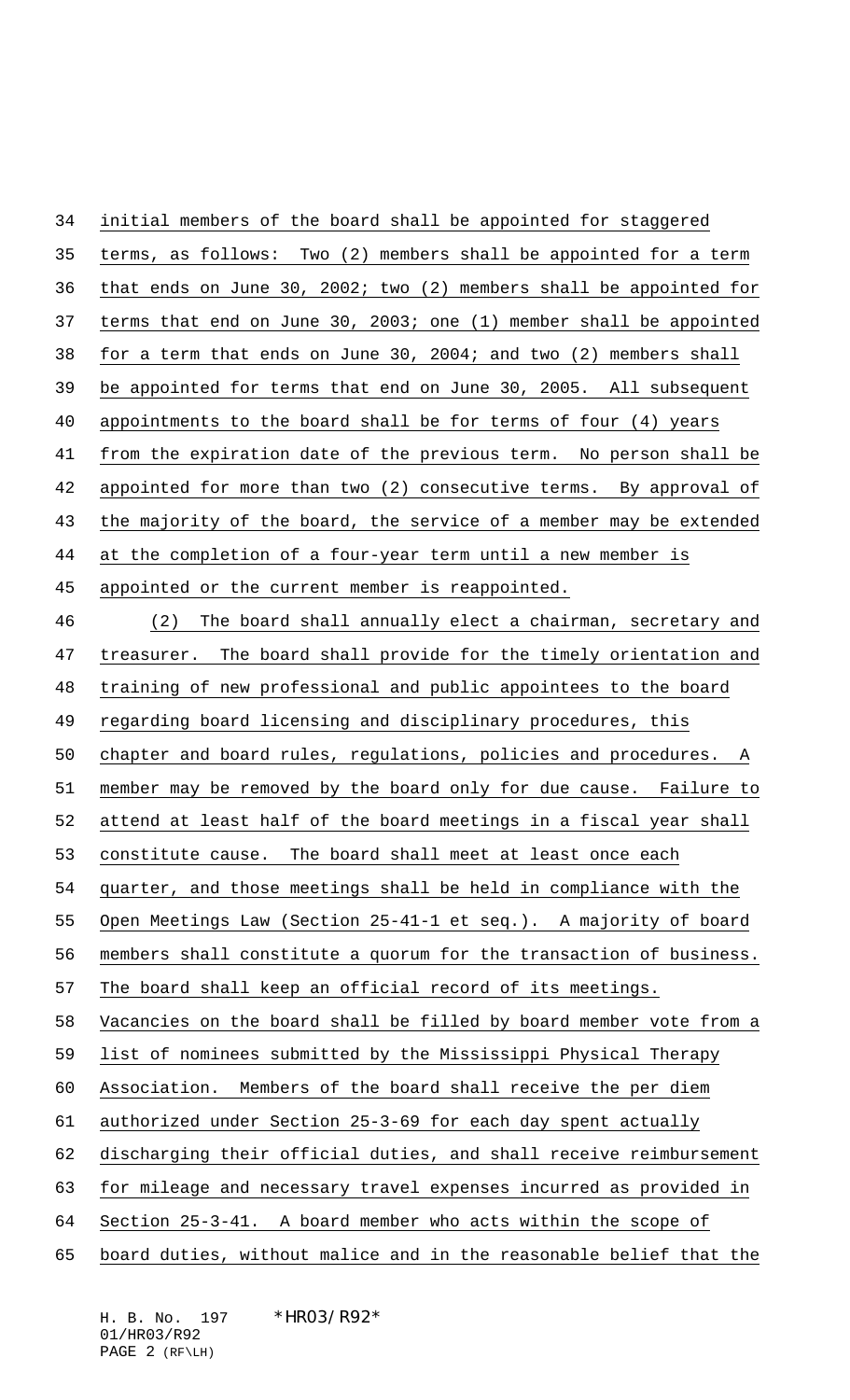| 34 | initial members of the board shall be appointed for staggered      |
|----|--------------------------------------------------------------------|
| 35 | terms, as follows: Two (2) members shall be appointed for a term   |
| 36 | that ends on June 30, 2002; two (2) members shall be appointed for |
| 37 | terms that end on June 30, 2003; one (1) member shall be appointed |
| 38 | for a term that ends on June 30, 2004; and two (2) members shall   |
| 39 | be appointed for terms that end on June 30, 2005. All subsequent   |
| 40 | appointments to the board shall be for terms of four (4) years     |
| 41 | from the expiration date of the previous term. No person shall be  |
| 42 | appointed for more than two (2) consecutive terms. By approval of  |
| 43 | the majority of the board, the service of a member may be extended |
| 44 | at the completion of a four-year term until a new member is        |
| 45 | appointed or the current member is reappointed.                    |
| 46 | The board shall annually elect a chairman, secretary and<br>(2)    |
| 47 | treasurer. The board shall provide for the timely orientation and  |
| 48 | training of new professional and public appointees to the board    |
| 49 | regarding board licensing and disciplinary procedures, this        |
| 50 | chapter and board rules, regulations, policies and procedures. A   |
| 51 | member may be removed by the board only for due cause. Failure to  |
| 52 | attend at least half of the board meetings in a fiscal year shall  |
| 53 | constitute cause. The board shall meet at least once each          |
| 54 | quarter, and those meetings shall be held in compliance with the   |
| 55 | Open Meetings Law (Section 25-41-1 et seq.). A majority of board   |
| 56 | members shall constitute a quorum for the transaction of business. |
| 57 | The board shall keep an official record of its meetings.           |
| 58 | Vacancies on the board shall be filled by board member vote from a |
| 59 | list of nominees submitted by the Mississippi Physical Therapy     |
| 60 | Association. Members of the board shall receive the per diem       |
| 61 | authorized under Section 25-3-69 for each day spent actually       |
| 62 | discharging their official duties, and shall receive reimbursement |
| 63 | for mileage and necessary travel expenses incurred as provided in  |
| 64 | Section 25-3-41. A board member who acts within the scope of       |
| 65 | board duties, without malice and in the reasonable belief that the |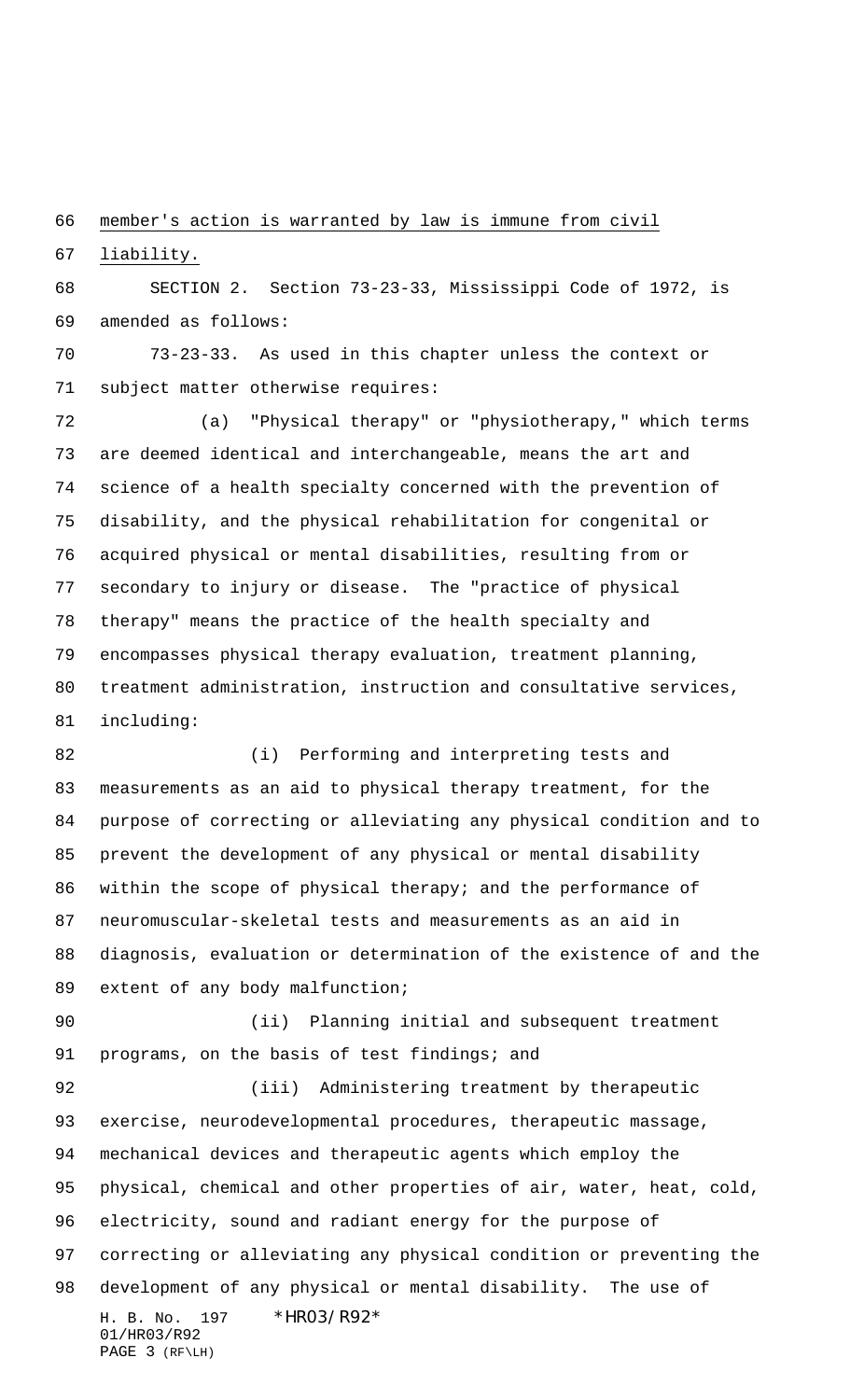member's action is warranted by law is immune from civil

liability.

 SECTION 2. Section 73-23-33, Mississippi Code of 1972, is amended as follows:

 73-23-33. As used in this chapter unless the context or subject matter otherwise requires:

 (a) "Physical therapy" or "physiotherapy," which terms are deemed identical and interchangeable, means the art and science of a health specialty concerned with the prevention of disability, and the physical rehabilitation for congenital or acquired physical or mental disabilities, resulting from or secondary to injury or disease. The "practice of physical therapy" means the practice of the health specialty and encompasses physical therapy evaluation, treatment planning, treatment administration, instruction and consultative services, including:

 (i) Performing and interpreting tests and measurements as an aid to physical therapy treatment, for the purpose of correcting or alleviating any physical condition and to prevent the development of any physical or mental disability 86 within the scope of physical therapy; and the performance of neuromuscular-skeletal tests and measurements as an aid in diagnosis, evaluation or determination of the existence of and the 89 extent of any body malfunction;

 (ii) Planning initial and subsequent treatment 91 programs, on the basis of test findings; and

H. B. No. 197 \* HRO3/R92\* 01/HR03/R92 PAGE 3 (RF\LH) (iii) Administering treatment by therapeutic exercise, neurodevelopmental procedures, therapeutic massage, mechanical devices and therapeutic agents which employ the physical, chemical and other properties of air, water, heat, cold, electricity, sound and radiant energy for the purpose of correcting or alleviating any physical condition or preventing the development of any physical or mental disability. The use of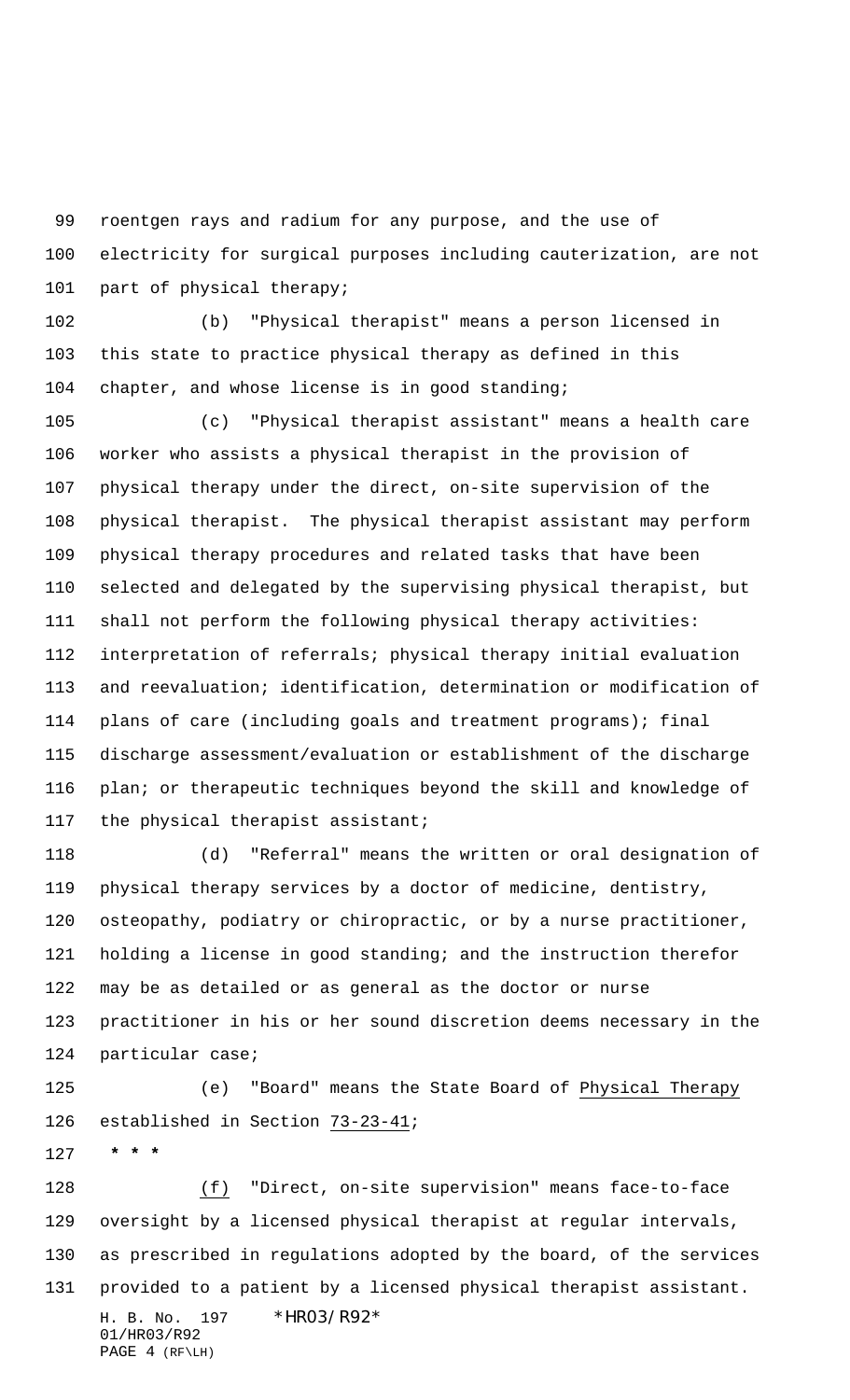roentgen rays and radium for any purpose, and the use of electricity for surgical purposes including cauterization, are not 101 part of physical therapy;

 (b) "Physical therapist" means a person licensed in this state to practice physical therapy as defined in this chapter, and whose license is in good standing;

 (c) "Physical therapist assistant" means a health care worker who assists a physical therapist in the provision of physical therapy under the direct, on-site supervision of the physical therapist. The physical therapist assistant may perform physical therapy procedures and related tasks that have been selected and delegated by the supervising physical therapist, but shall not perform the following physical therapy activities: interpretation of referrals; physical therapy initial evaluation and reevaluation; identification, determination or modification of plans of care (including goals and treatment programs); final discharge assessment/evaluation or establishment of the discharge plan; or therapeutic techniques beyond the skill and knowledge of the physical therapist assistant;

 (d) "Referral" means the written or oral designation of physical therapy services by a doctor of medicine, dentistry, osteopathy, podiatry or chiropractic, or by a nurse practitioner, holding a license in good standing; and the instruction therefor may be as detailed or as general as the doctor or nurse practitioner in his or her sound discretion deems necessary in the particular case;

 (e) "Board" means the State Board of Physical Therapy established in Section 73-23-41;

 **\* \* \***

H. B. No. 197 \* HRO3/R92\* 01/HR03/R92 (f) "Direct, on-site supervision" means face-to-face oversight by a licensed physical therapist at regular intervals, as prescribed in regulations adopted by the board, of the services provided to a patient by a licensed physical therapist assistant.

```
PAGE 4 (RF\LH)
```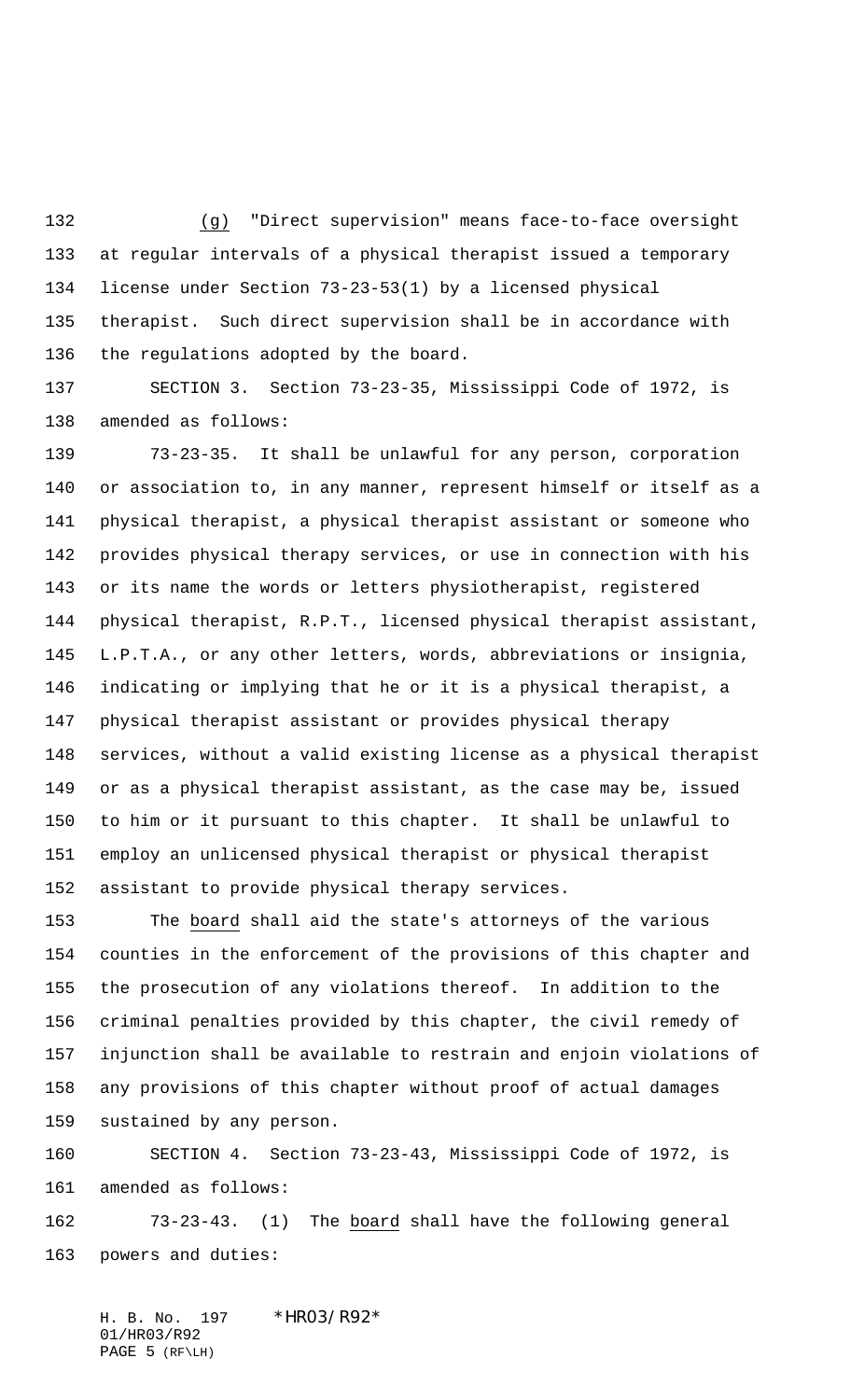(g) "Direct supervision" means face-to-face oversight at regular intervals of a physical therapist issued a temporary license under Section 73-23-53(1) by a licensed physical therapist. Such direct supervision shall be in accordance with the regulations adopted by the board.

 SECTION 3. Section 73-23-35, Mississippi Code of 1972, is amended as follows:

 73-23-35. It shall be unlawful for any person, corporation or association to, in any manner, represent himself or itself as a physical therapist, a physical therapist assistant or someone who provides physical therapy services, or use in connection with his or its name the words or letters physiotherapist, registered physical therapist, R.P.T., licensed physical therapist assistant, L.P.T.A., or any other letters, words, abbreviations or insignia, indicating or implying that he or it is a physical therapist, a physical therapist assistant or provides physical therapy services, without a valid existing license as a physical therapist or as a physical therapist assistant, as the case may be, issued to him or it pursuant to this chapter. It shall be unlawful to employ an unlicensed physical therapist or physical therapist assistant to provide physical therapy services.

 The board shall aid the state's attorneys of the various counties in the enforcement of the provisions of this chapter and the prosecution of any violations thereof. In addition to the criminal penalties provided by this chapter, the civil remedy of injunction shall be available to restrain and enjoin violations of any provisions of this chapter without proof of actual damages sustained by any person.

 SECTION 4. Section 73-23-43, Mississippi Code of 1972, is amended as follows:

 73-23-43. (1) The board shall have the following general powers and duties:

H. B. No. 197 \*HR03/R92\* 01/HR03/R92 PAGE 5 (RF\LH)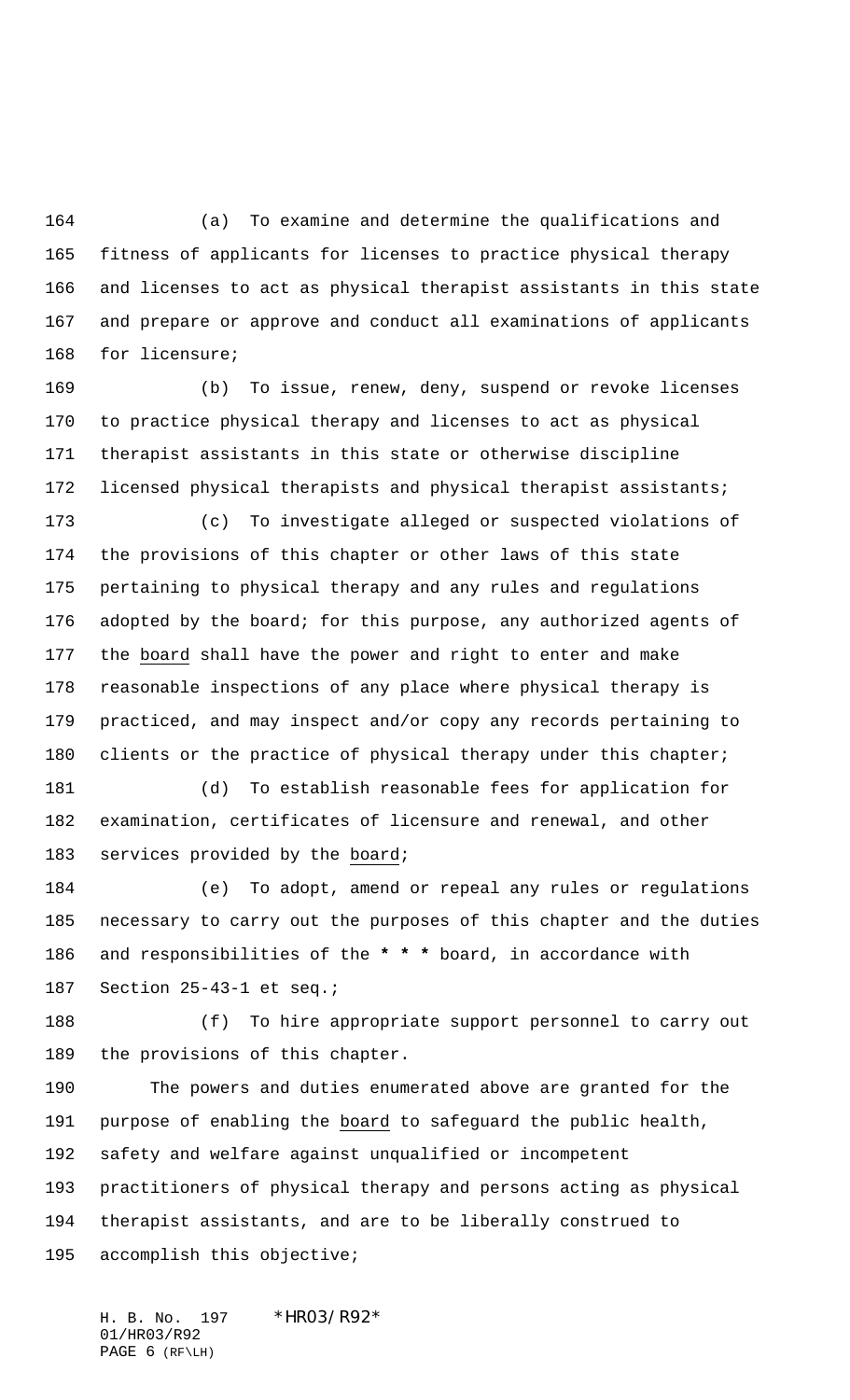(a) To examine and determine the qualifications and fitness of applicants for licenses to practice physical therapy and licenses to act as physical therapist assistants in this state and prepare or approve and conduct all examinations of applicants for licensure;

 (b) To issue, renew, deny, suspend or revoke licenses to practice physical therapy and licenses to act as physical therapist assistants in this state or otherwise discipline 172 licensed physical therapists and physical therapist assistants;

 (c) To investigate alleged or suspected violations of the provisions of this chapter or other laws of this state pertaining to physical therapy and any rules and regulations adopted by the board; for this purpose, any authorized agents of the board shall have the power and right to enter and make reasonable inspections of any place where physical therapy is practiced, and may inspect and/or copy any records pertaining to 180 clients or the practice of physical therapy under this chapter;

 (d) To establish reasonable fees for application for examination, certificates of licensure and renewal, and other 183 services provided by the board;

 (e) To adopt, amend or repeal any rules or regulations necessary to carry out the purposes of this chapter and the duties and responsibilities of the **\* \* \*** board, in accordance with Section 25-43-1 et seq.;

 (f) To hire appropriate support personnel to carry out the provisions of this chapter.

 The powers and duties enumerated above are granted for the purpose of enabling the board to safeguard the public health, safety and welfare against unqualified or incompetent practitioners of physical therapy and persons acting as physical therapist assistants, and are to be liberally construed to accomplish this objective;

H. B. No. 197 \*HR03/R92\* 01/HR03/R92 PAGE 6 (RF\LH)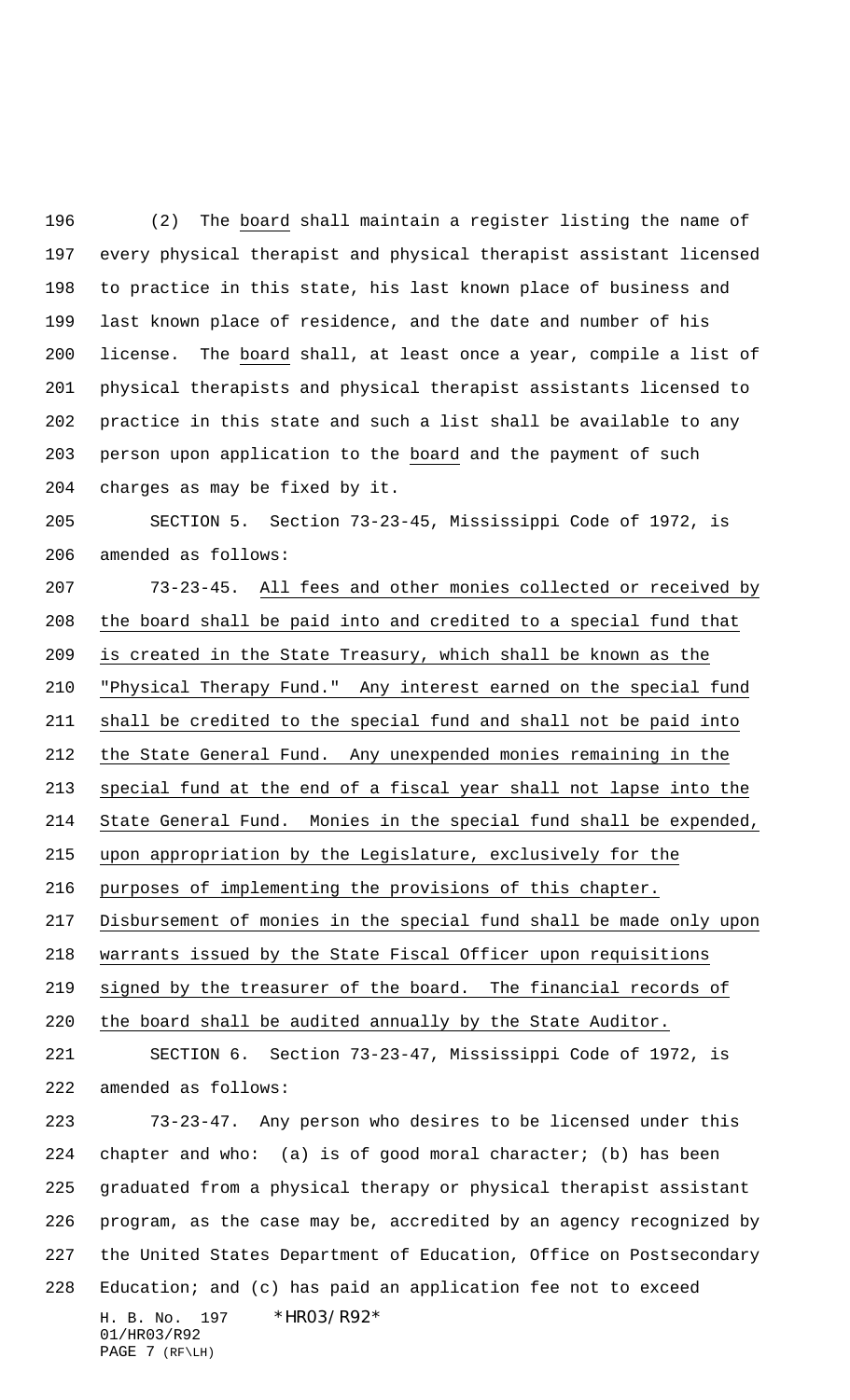(2) The board shall maintain a register listing the name of every physical therapist and physical therapist assistant licensed to practice in this state, his last known place of business and last known place of residence, and the date and number of his license. The board shall, at least once a year, compile a list of physical therapists and physical therapist assistants licensed to practice in this state and such a list shall be available to any person upon application to the board and the payment of such charges as may be fixed by it.

 SECTION 5. Section 73-23-45, Mississippi Code of 1972, is amended as follows:

73-23-45. All fees and other monies collected or received by

H. B. No. 197 \* HRO3/R92\* 01/HR03/R92 PAGE 7 (RF\LH) the board shall be paid into and credited to a special fund that is created in the State Treasury, which shall be known as the "Physical Therapy Fund." Any interest earned on the special fund shall be credited to the special fund and shall not be paid into the State General Fund. Any unexpended monies remaining in the special fund at the end of a fiscal year shall not lapse into the State General Fund. Monies in the special fund shall be expended, upon appropriation by the Legislature, exclusively for the purposes of implementing the provisions of this chapter. Disbursement of monies in the special fund shall be made only upon warrants issued by the State Fiscal Officer upon requisitions signed by the treasurer of the board. The financial records of the board shall be audited annually by the State Auditor. SECTION 6. Section 73-23-47, Mississippi Code of 1972, is amended as follows: 73-23-47. Any person who desires to be licensed under this chapter and who: (a) is of good moral character; (b) has been graduated from a physical therapy or physical therapist assistant program, as the case may be, accredited by an agency recognized by the United States Department of Education, Office on Postsecondary Education; and (c) has paid an application fee not to exceed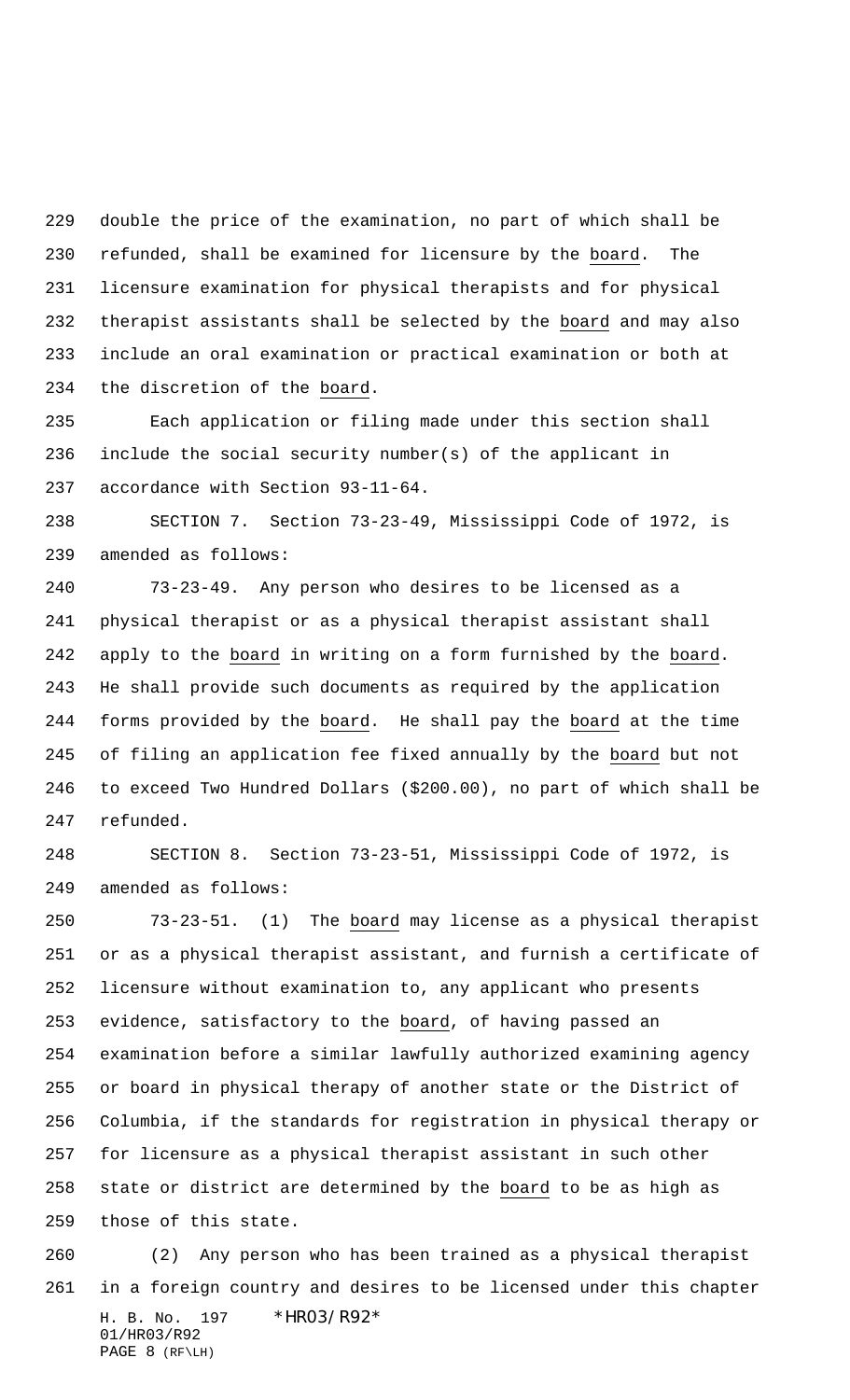double the price of the examination, no part of which shall be refunded, shall be examined for licensure by the board. The licensure examination for physical therapists and for physical therapist assistants shall be selected by the board and may also include an oral examination or practical examination or both at the discretion of the board.

 Each application or filing made under this section shall include the social security number(s) of the applicant in accordance with Section 93-11-64.

 SECTION 7. Section 73-23-49, Mississippi Code of 1972, is amended as follows:

 73-23-49. Any person who desires to be licensed as a physical therapist or as a physical therapist assistant shall apply to the board in writing on a form furnished by the board. He shall provide such documents as required by the application forms provided by the board. He shall pay the board at the time of filing an application fee fixed annually by the board but not to exceed Two Hundred Dollars (\$200.00), no part of which shall be refunded.

 SECTION 8. Section 73-23-51, Mississippi Code of 1972, is amended as follows:

 73-23-51. (1) The board may license as a physical therapist or as a physical therapist assistant, and furnish a certificate of licensure without examination to, any applicant who presents 253 evidence, satisfactory to the board, of having passed an examination before a similar lawfully authorized examining agency or board in physical therapy of another state or the District of Columbia, if the standards for registration in physical therapy or for licensure as a physical therapist assistant in such other state or district are determined by the board to be as high as those of this state.

H. B. No. 197 \* HRO3/R92\* 01/HR03/R92 PAGE 8 (RF\LH) (2) Any person who has been trained as a physical therapist in a foreign country and desires to be licensed under this chapter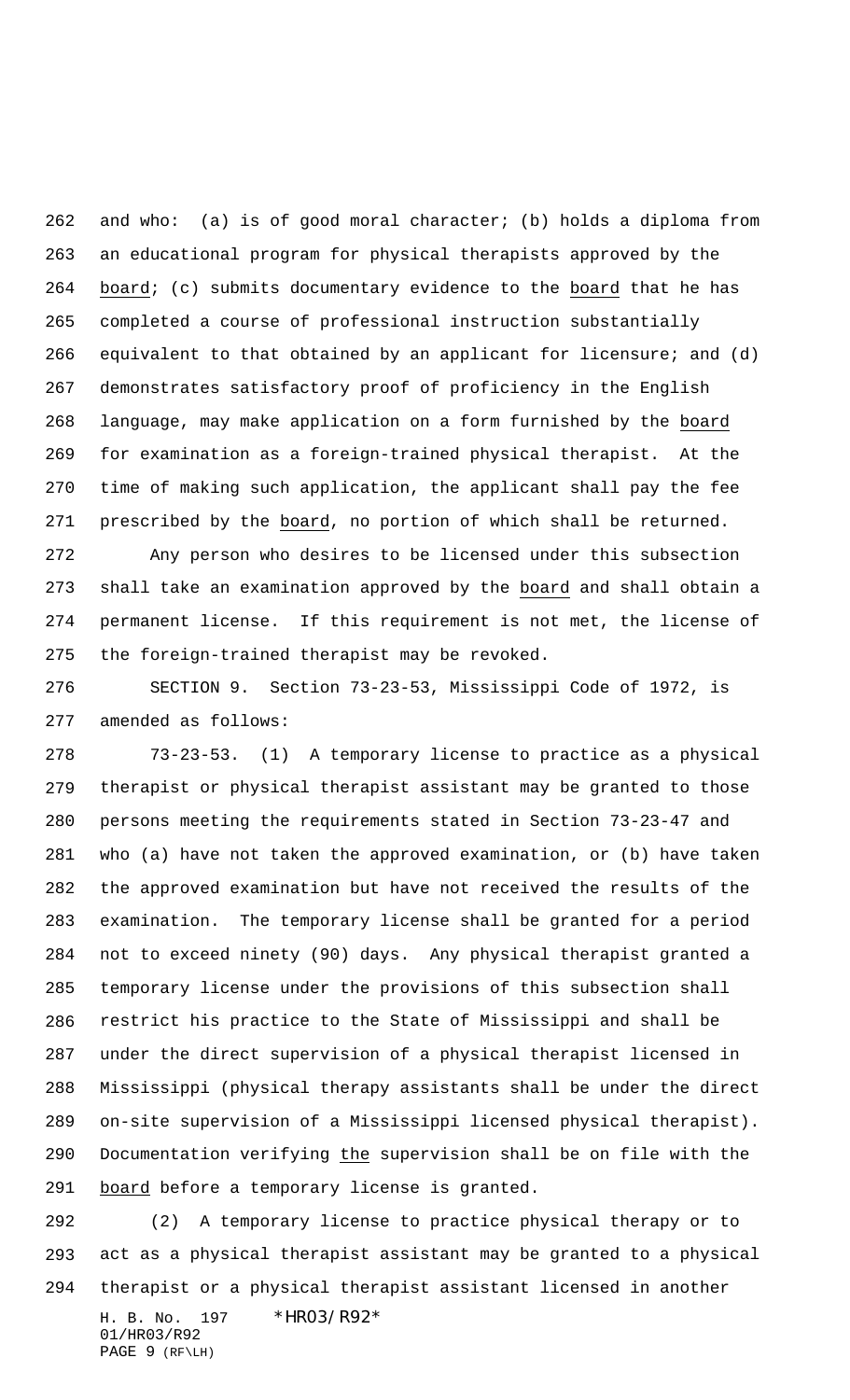and who: (a) is of good moral character; (b) holds a diploma from an educational program for physical therapists approved by the board; (c) submits documentary evidence to the board that he has completed a course of professional instruction substantially equivalent to that obtained by an applicant for licensure; and (d) demonstrates satisfactory proof of proficiency in the English language, may make application on a form furnished by the board for examination as a foreign-trained physical therapist. At the time of making such application, the applicant shall pay the fee prescribed by the board, no portion of which shall be returned.

 Any person who desires to be licensed under this subsection shall take an examination approved by the board and shall obtain a permanent license. If this requirement is not met, the license of the foreign-trained therapist may be revoked.

 SECTION 9. Section 73-23-53, Mississippi Code of 1972, is amended as follows:

 73-23-53. (1) A temporary license to practice as a physical therapist or physical therapist assistant may be granted to those persons meeting the requirements stated in Section 73-23-47 and who (a) have not taken the approved examination, or (b) have taken the approved examination but have not received the results of the examination. The temporary license shall be granted for a period not to exceed ninety (90) days. Any physical therapist granted a temporary license under the provisions of this subsection shall restrict his practice to the State of Mississippi and shall be under the direct supervision of a physical therapist licensed in Mississippi (physical therapy assistants shall be under the direct on-site supervision of a Mississippi licensed physical therapist). 290 Documentation verifying the supervision shall be on file with the 291 board before a temporary license is granted.

H. B. No. 197 \* HRO3/R92\* (2) A temporary license to practice physical therapy or to act as a physical therapist assistant may be granted to a physical therapist or a physical therapist assistant licensed in another

01/HR03/R92 PAGE 9 (RF\LH)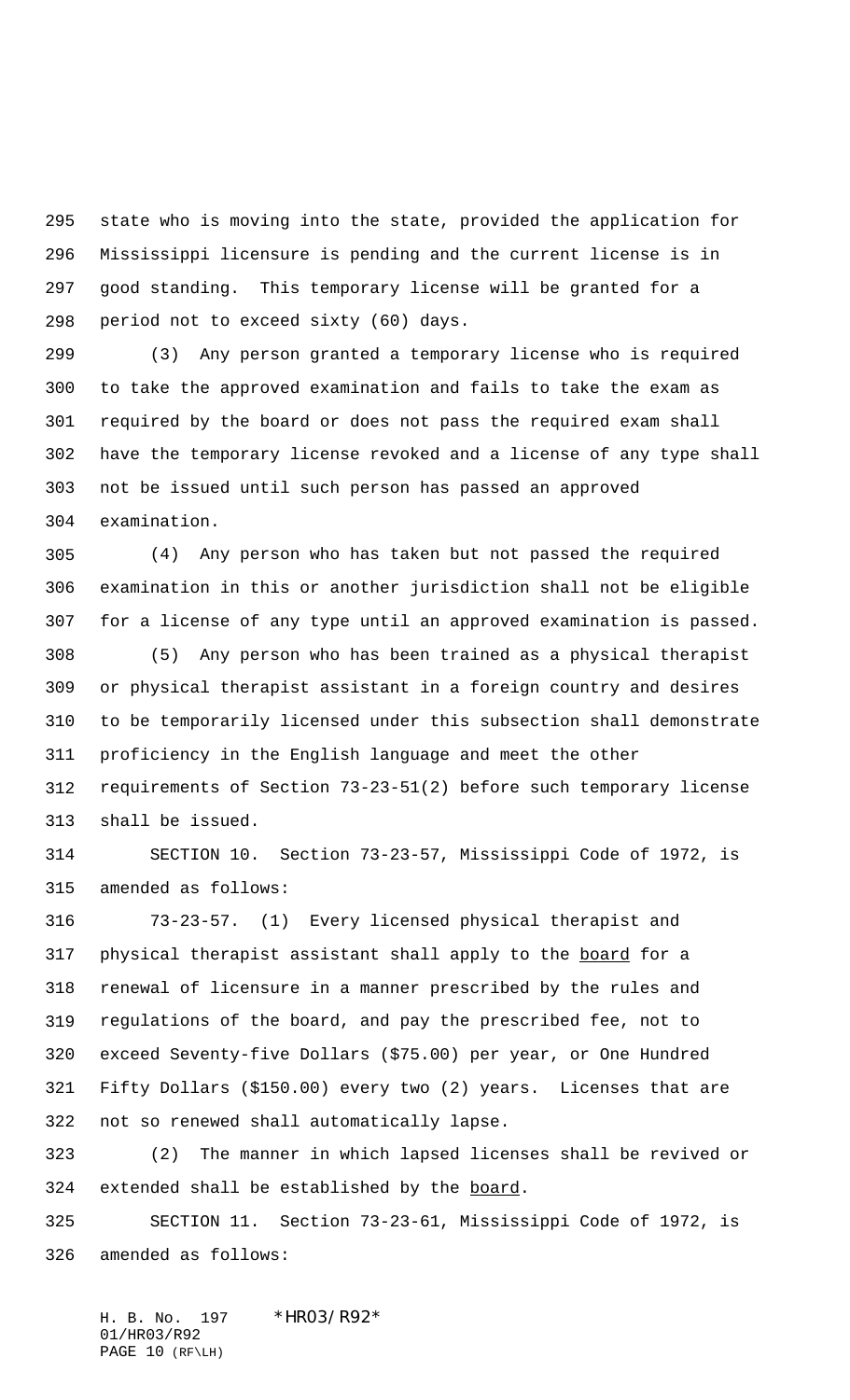state who is moving into the state, provided the application for Mississippi licensure is pending and the current license is in good standing. This temporary license will be granted for a period not to exceed sixty (60) days.

 (3) Any person granted a temporary license who is required to take the approved examination and fails to take the exam as required by the board or does not pass the required exam shall have the temporary license revoked and a license of any type shall not be issued until such person has passed an approved examination.

 (4) Any person who has taken but not passed the required examination in this or another jurisdiction shall not be eligible for a license of any type until an approved examination is passed.

 (5) Any person who has been trained as a physical therapist or physical therapist assistant in a foreign country and desires to be temporarily licensed under this subsection shall demonstrate proficiency in the English language and meet the other requirements of Section 73-23-51(2) before such temporary license shall be issued.

 SECTION 10. Section 73-23-57, Mississippi Code of 1972, is amended as follows:

 73-23-57. (1) Every licensed physical therapist and 317 physical therapist assistant shall apply to the board for a renewal of licensure in a manner prescribed by the rules and regulations of the board, and pay the prescribed fee, not to exceed Seventy-five Dollars (\$75.00) per year, or One Hundred Fifty Dollars (\$150.00) every two (2) years. Licenses that are not so renewed shall automatically lapse.

 (2) The manner in which lapsed licenses shall be revived or 324 extended shall be established by the board.

 SECTION 11. Section 73-23-61, Mississippi Code of 1972, is amended as follows:

H. B. No. 197 \* HR03/R92\* 01/HR03/R92 PAGE 10 (RF\LH)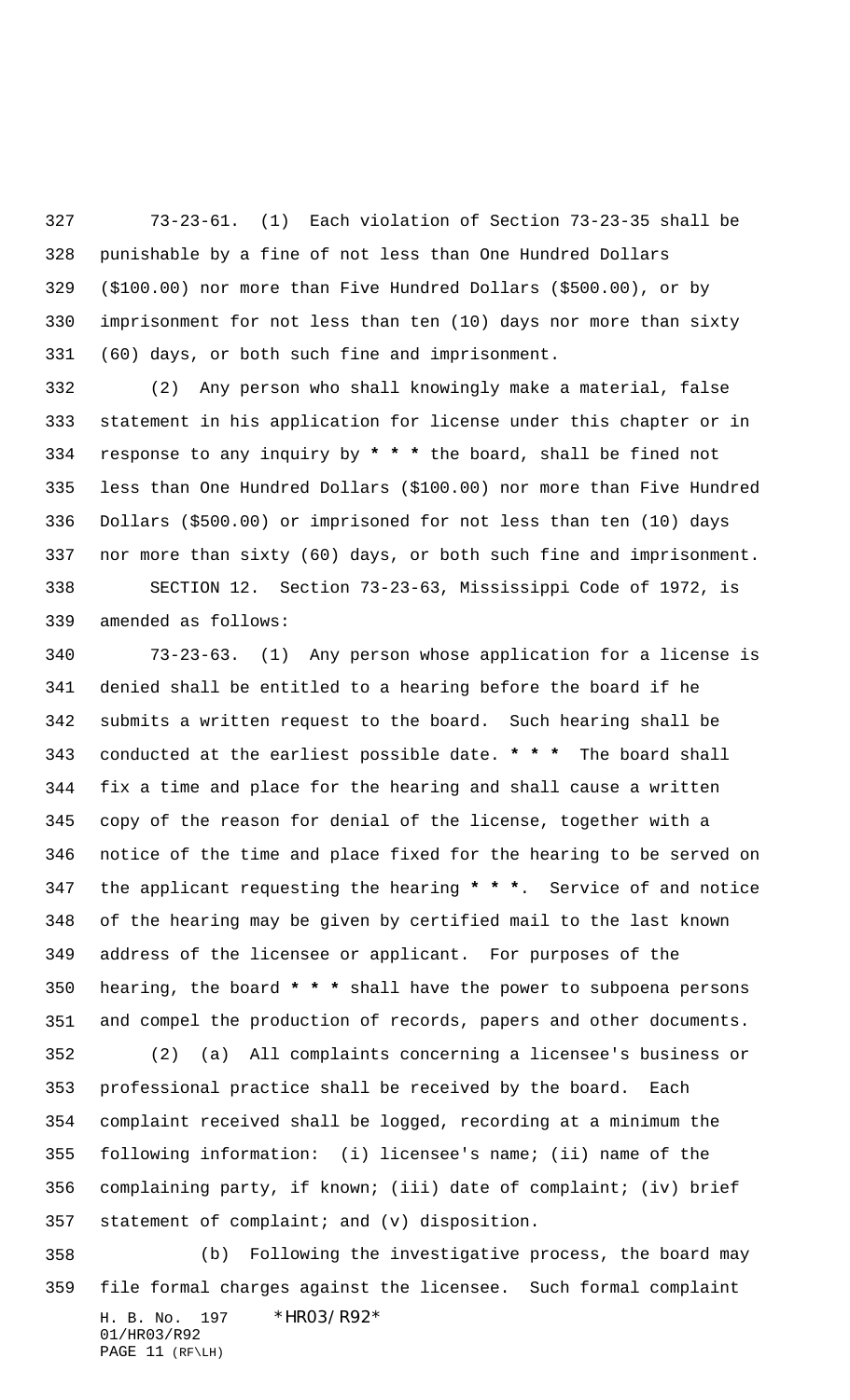73-23-61. (1) Each violation of Section 73-23-35 shall be punishable by a fine of not less than One Hundred Dollars (\$100.00) nor more than Five Hundred Dollars (\$500.00), or by imprisonment for not less than ten (10) days nor more than sixty (60) days, or both such fine and imprisonment.

 (2) Any person who shall knowingly make a material, false statement in his application for license under this chapter or in response to any inquiry by **\* \* \*** the board, shall be fined not less than One Hundred Dollars (\$100.00) nor more than Five Hundred Dollars (\$500.00) or imprisoned for not less than ten (10) days nor more than sixty (60) days, or both such fine and imprisonment. SECTION 12. Section 73-23-63, Mississippi Code of 1972, is amended as follows:

 73-23-63. (1) Any person whose application for a license is denied shall be entitled to a hearing before the board if he submits a written request to the board. Such hearing shall be conducted at the earliest possible date. **\* \* \*** The board shall fix a time and place for the hearing and shall cause a written copy of the reason for denial of the license, together with a notice of the time and place fixed for the hearing to be served on the applicant requesting the hearing **\* \* \***. Service of and notice of the hearing may be given by certified mail to the last known address of the licensee or applicant. For purposes of the hearing, the board **\* \* \*** shall have the power to subpoena persons and compel the production of records, papers and other documents.

 (2) (a) All complaints concerning a licensee's business or professional practice shall be received by the board. Each complaint received shall be logged, recording at a minimum the following information: (i) licensee's name; (ii) name of the complaining party, if known; (iii) date of complaint; (iv) brief statement of complaint; and (v) disposition.

H. B. No. 197 \* HRO3/R92\* 01/HR03/R92 PAGE 11 (RF\LH) (b) Following the investigative process, the board may file formal charges against the licensee. Such formal complaint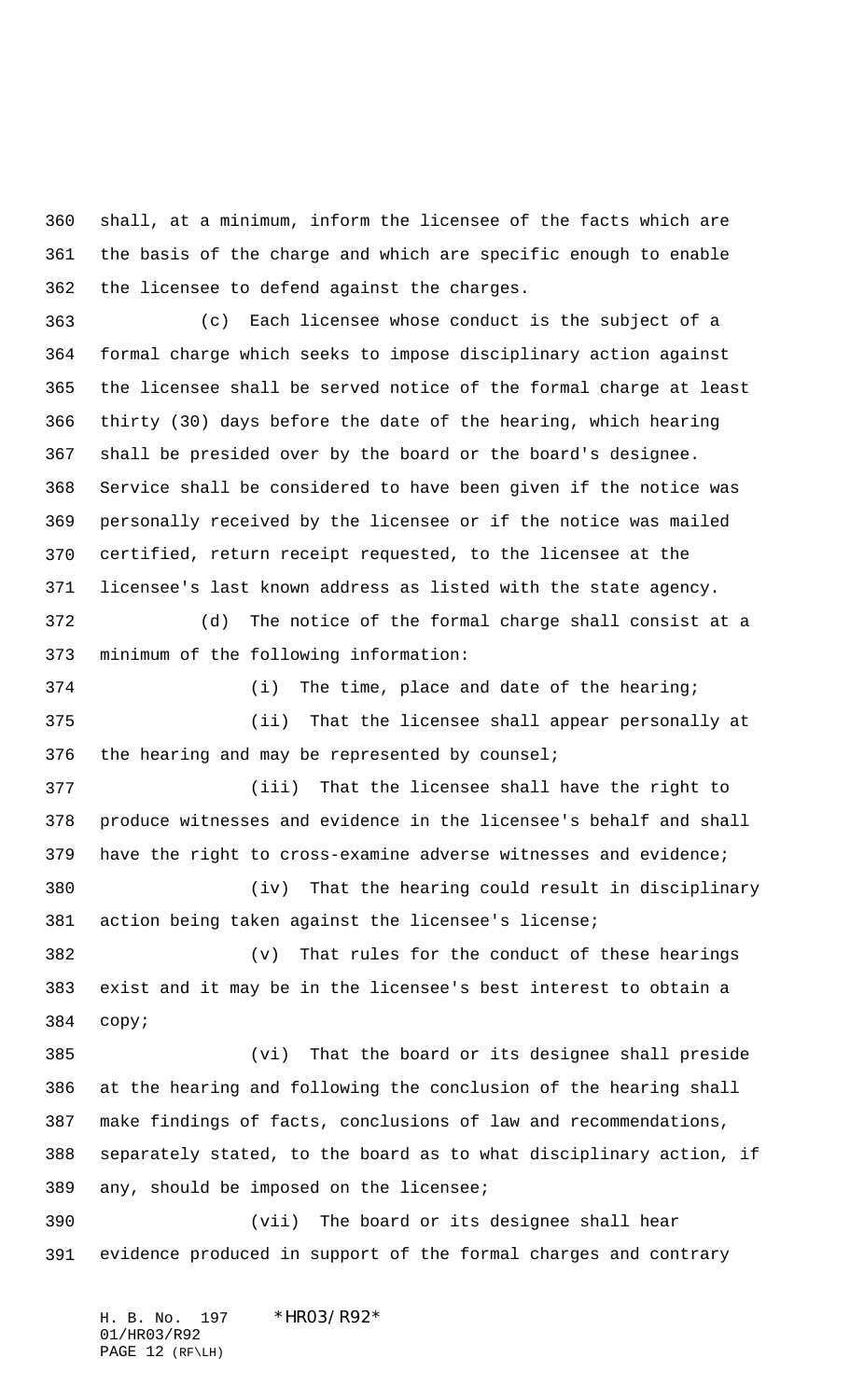shall, at a minimum, inform the licensee of the facts which are the basis of the charge and which are specific enough to enable the licensee to defend against the charges.

 (c) Each licensee whose conduct is the subject of a formal charge which seeks to impose disciplinary action against the licensee shall be served notice of the formal charge at least thirty (30) days before the date of the hearing, which hearing shall be presided over by the board or the board's designee. Service shall be considered to have been given if the notice was personally received by the licensee or if the notice was mailed certified, return receipt requested, to the licensee at the licensee's last known address as listed with the state agency.

 (d) The notice of the formal charge shall consist at a minimum of the following information:

 (i) The time, place and date of the hearing; (ii) That the licensee shall appear personally at 376 the hearing and may be represented by counsel;

 (iii) That the licensee shall have the right to produce witnesses and evidence in the licensee's behalf and shall have the right to cross-examine adverse witnesses and evidence; (iv) That the hearing could result in disciplinary

 action being taken against the licensee's license; (v) That rules for the conduct of these hearings

 exist and it may be in the licensee's best interest to obtain a copy;

 (vi) That the board or its designee shall preside at the hearing and following the conclusion of the hearing shall make findings of facts, conclusions of law and recommendations, separately stated, to the board as to what disciplinary action, if any, should be imposed on the licensee;

 (vii) The board or its designee shall hear evidence produced in support of the formal charges and contrary

H. B. No. 197 \* HRO3/R92\* 01/HR03/R92 PAGE 12 (RF\LH)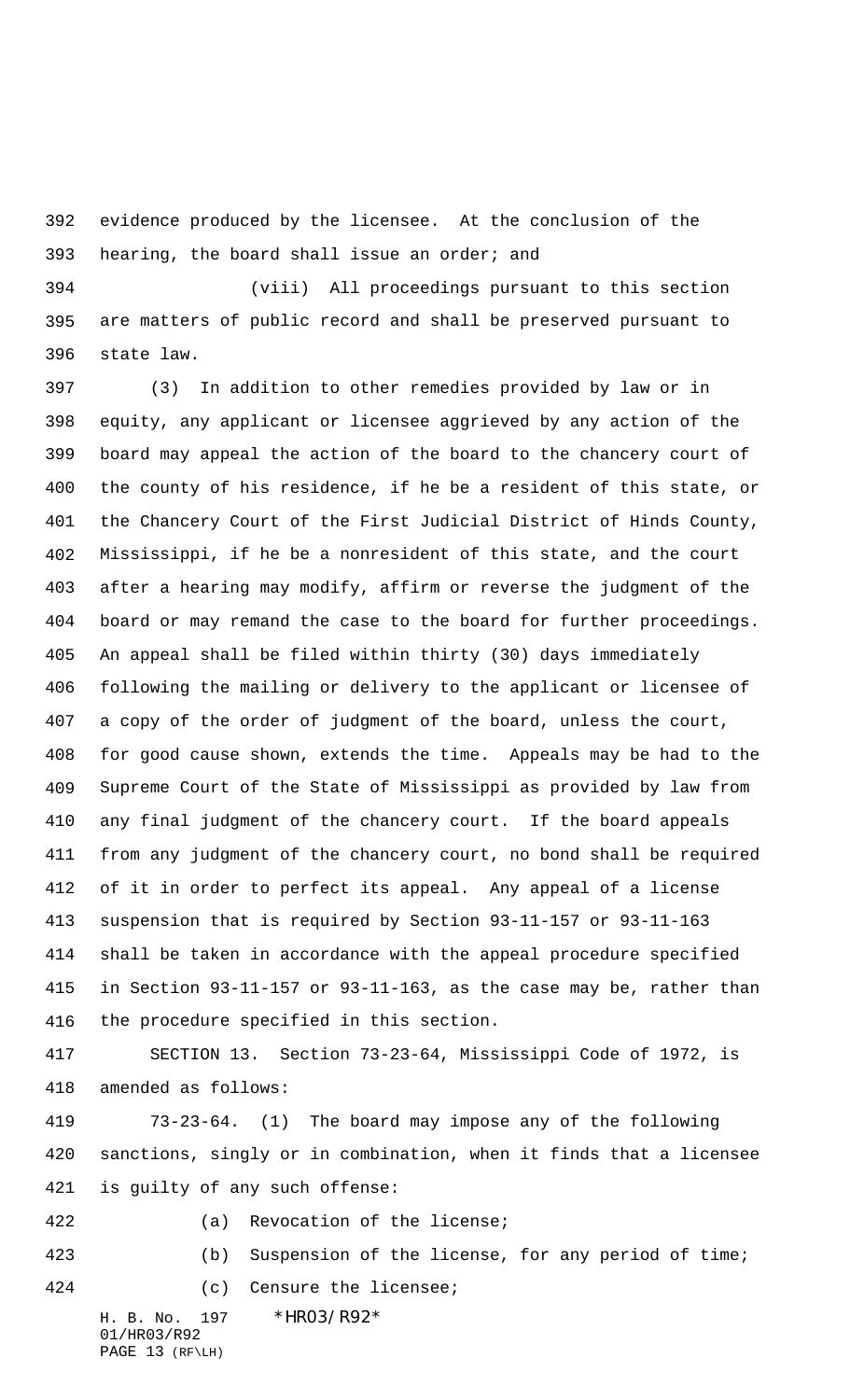evidence produced by the licensee. At the conclusion of the 393 hearing, the board shall issue an order; and

 (viii) All proceedings pursuant to this section are matters of public record and shall be preserved pursuant to state law.

 (3) In addition to other remedies provided by law or in equity, any applicant or licensee aggrieved by any action of the board may appeal the action of the board to the chancery court of the county of his residence, if he be a resident of this state, or the Chancery Court of the First Judicial District of Hinds County, Mississippi, if he be a nonresident of this state, and the court after a hearing may modify, affirm or reverse the judgment of the board or may remand the case to the board for further proceedings. An appeal shall be filed within thirty (30) days immediately following the mailing or delivery to the applicant or licensee of a copy of the order of judgment of the board, unless the court, for good cause shown, extends the time. Appeals may be had to the Supreme Court of the State of Mississippi as provided by law from any final judgment of the chancery court. If the board appeals from any judgment of the chancery court, no bond shall be required of it in order to perfect its appeal. Any appeal of a license suspension that is required by Section 93-11-157 or 93-11-163 shall be taken in accordance with the appeal procedure specified in Section 93-11-157 or 93-11-163, as the case may be, rather than the procedure specified in this section.

 SECTION 13. Section 73-23-64, Mississippi Code of 1972, is amended as follows:

 73-23-64. (1) The board may impose any of the following sanctions, singly or in combination, when it finds that a licensee is guilty of any such offense:

(a) Revocation of the license;

(b) Suspension of the license, for any period of time;

(c) Censure the licensee;

H. B. No. 197 \* HRO3/R92\* 01/HR03/R92 PAGE 13 (RF\LH)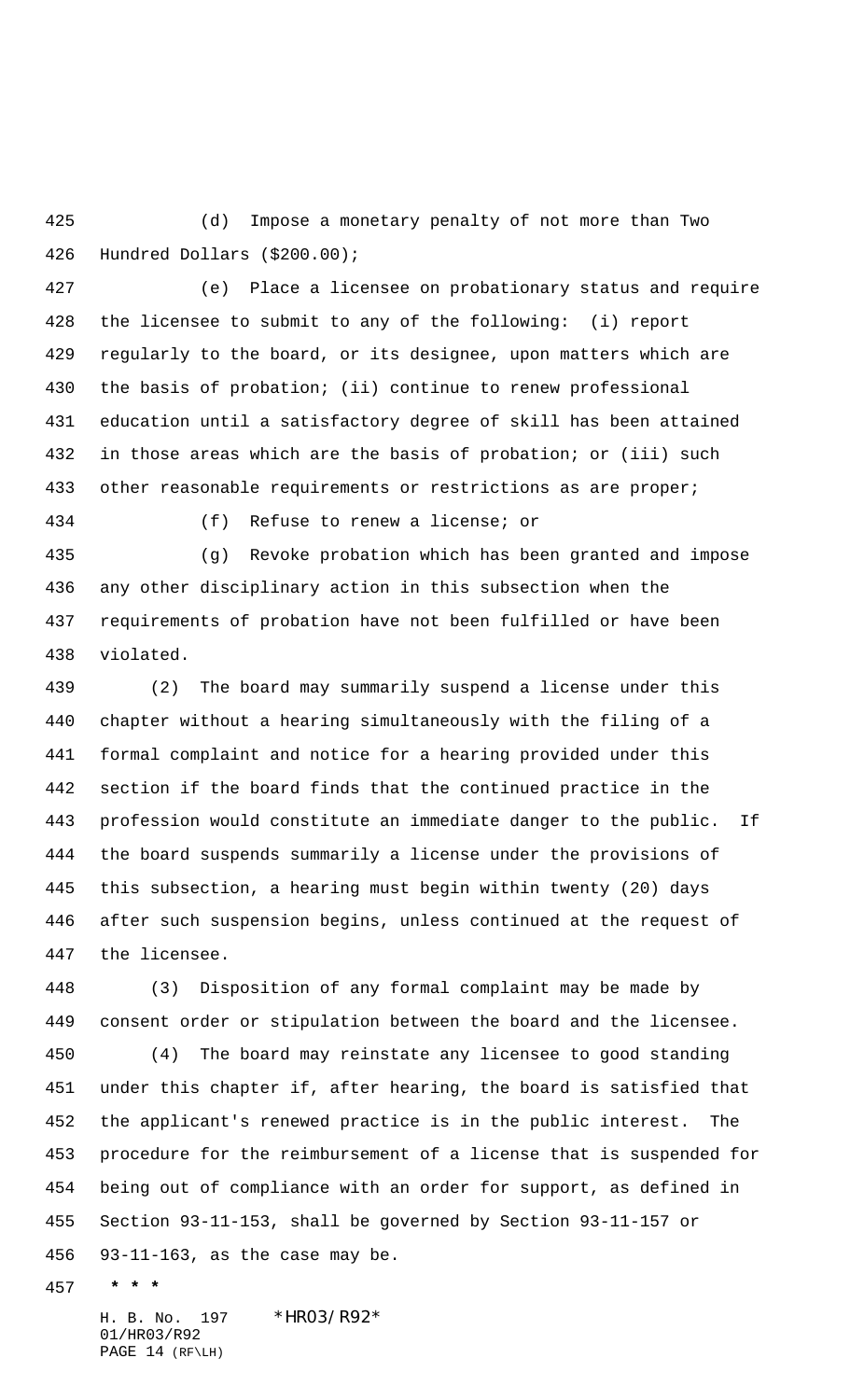(d) Impose a monetary penalty of not more than Two Hundred Dollars (\$200.00);

 (e) Place a licensee on probationary status and require the licensee to submit to any of the following: (i) report regularly to the board, or its designee, upon matters which are the basis of probation; (ii) continue to renew professional education until a satisfactory degree of skill has been attained in those areas which are the basis of probation; or (iii) such 433 other reasonable requirements or restrictions as are proper;

(f) Refuse to renew a license; or

 (g) Revoke probation which has been granted and impose any other disciplinary action in this subsection when the requirements of probation have not been fulfilled or have been violated.

 (2) The board may summarily suspend a license under this chapter without a hearing simultaneously with the filing of a formal complaint and notice for a hearing provided under this section if the board finds that the continued practice in the profession would constitute an immediate danger to the public. If the board suspends summarily a license under the provisions of this subsection, a hearing must begin within twenty (20) days after such suspension begins, unless continued at the request of the licensee.

 (3) Disposition of any formal complaint may be made by consent order or stipulation between the board and the licensee.

 (4) The board may reinstate any licensee to good standing under this chapter if, after hearing, the board is satisfied that the applicant's renewed practice is in the public interest. The procedure for the reimbursement of a license that is suspended for being out of compliance with an order for support, as defined in Section 93-11-153, shall be governed by Section 93-11-157 or 93-11-163, as the case may be.

 **\* \* \***

H. B. No. 197 \*HR03/R92\* 01/HR03/R92 PAGE 14 (RF\LH)